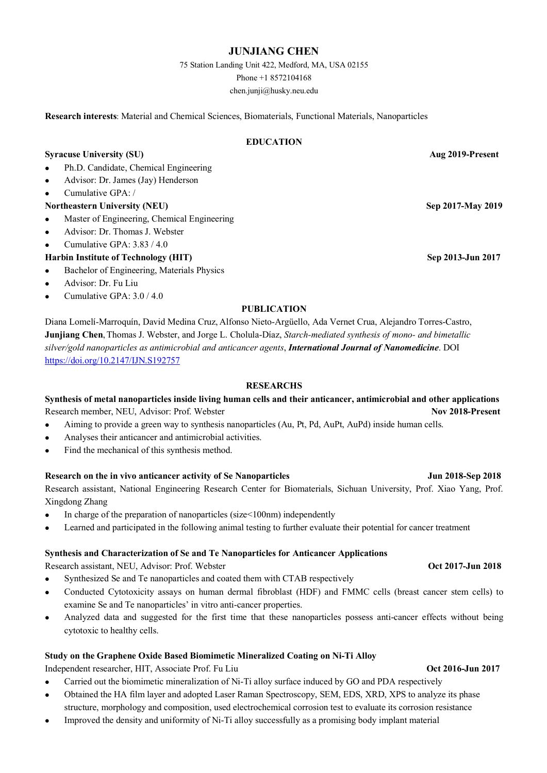# **JUNJIANG CHEN**

75 Station Landing Unit 422, Medford, MA, USA 02155 Phone +1 8572104168

chen.junji@husky.neu.edu

**Research interests**: Material and Chemical Sciences, Biomaterials, Functional Materials, Nanoparticles

### **EDUCATION**

## **Syracuse University (SU) Aug 2019-Present**

- <sup>l</sup> Ph.D. Candidate, Chemical Engineering
- <sup>l</sup> Advisor: Dr. James (Jay) Henderson
- <sup>l</sup> Cumulative GPA: /
- **Northeastern University (NEU)** Sep 2017-May 2019
- <sup>l</sup> Master of Engineering, Chemical Engineering
- <sup>l</sup> Advisor: Dr. Thomas J. Webster
- <sup>l</sup> Cumulative GPA: 3.83 / 4.0
- **Harbin Institute of Technology (HIT)** Sep 2013-Jun 2017
- <sup>l</sup> Bachelor of Engineering, Materials Physics
- <sup>l</sup> Advisor: Dr. Fu Liu
- Cumulative GPA: 3.0 / 4.0

### **PUBLICATION**

Diana Lomelí-Marroquín, David Medina Cruz, Alfonso Nieto-Argüello, Ada Vernet Crua, Alejandro Torres-Castro, **Junjiang Chen**, Thomas J. Webster, and Jorge L. Cholula-Díaz, *Starch-mediated synthesis of mono- and bimetallic silver/gold nanoparticles as antimicrobial and anticancer agents*, *International Journal of Nanomedicine*. DOI https://doi.org/10.2147/IJN.S192757

### **RESEARCHS**

### **Synthesis of metal nanoparticles inside living human cells and their anticancer, antimicrobial and other applications** Research member, NEU, Advisor: Prof. Webster **Nov 2018-Present**

- <sup>l</sup> Aiming to provide a green way to synthesis nanoparticles (Au, Pt, Pd, AuPt, AuPd) inside human cells.
- <sup>l</sup> Analyses their anticancer and antimicrobial activities.
- Find the mechanical of this synthesis method.

### **Research on the in vivo anticancer activity of Se Nanoparticles Jun 2018-Sep 2018**

Research assistant, National Engineering Research Center for Biomaterials, Sichuan University, Prof. Xiao Yang, Prof. Xingdong Zhang

- In charge of the preparation of nanoparticles (size $<100$ nm) independently
- <sup>l</sup> Learned and participated in the following animal testing to further evaluate their potential for cancer treatment

### **Synthesis and Characterization of Se and Te Nanoparticles for Anticancer Applications**

Research assistant, NEU, Advisor: Prof. Webster **Oct 2017-Jun 2018**

- Synthesized Se and Te nanoparticles and coated them with CTAB respectively
- <sup>l</sup> Conducted Cytotoxicity assays on human dermal fibroblast (HDF) and FMMC cells (breast cancer stem cells) to examine Se and Te nanoparticles' in vitro anti-cancer properties.
- <sup>l</sup> Analyzed data and suggested for the first time that these nanoparticles possess anti-cancer effects without being cytotoxic to healthy cells.

### **Study on the Graphene Oxide Based Biomimetic Mineralized Coating on Ni-Ti Alloy**

Independent researcher, HIT, Associate Prof. Fu Liu **Oct 2016-Jun 2017**

- <sup>l</sup> Carried out the biomimetic mineralization of Ni-Ti alloy surface induced by GO and PDA respectively
- <sup>l</sup> Obtained the HA film layer and adopted Laser Raman Spectroscopy, SEM, EDS, XRD, XPS to analyze its phase structure, morphology and composition, used electrochemical corrosion test to evaluate its corrosion resistance
- <sup>l</sup> Improved the density and uniformity of Ni-Ti alloy successfully as a promising body implant material